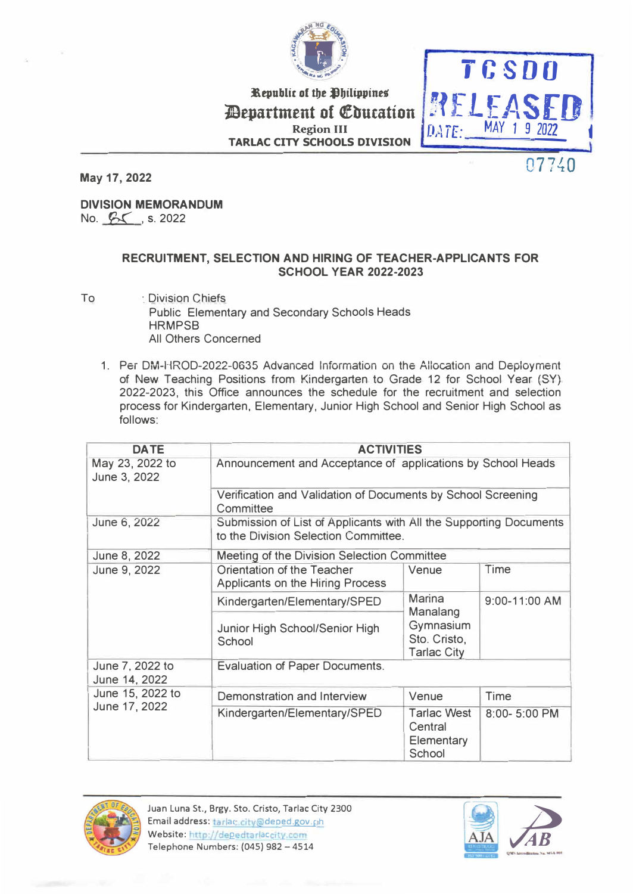

�epublic of *tbt* �biltppines Repartment of Coucation **RELEASED**<br>Region III Region III **Region III TARLAC CITY SCHOOLS DIVISION** 



**May 17, 2022** 

**DIVISION MEMORANDUM**  No.  $5\sqrt{8}$ , s. 2022

## **RECRUITMENT, SELECTION AND HIRING OF TEACHER-APPLICANTS FOR SCHOOL YEAR 2022-2023**

- To : Division Chiefs Public Elementary and Secondary Schools Heads **HRMPSB** All Others Concerned
	- 1. Per DM-HROD-2022-0635 Advanced Information on the Allocation and Deployment of New Teaching Positions from Kindergarten to Grade 12 for School Year (SY) 2022-2023, this Office announces the schedule for the recruitment and selection process for Kindergarten, Elementary, Junior High School and Senior High School as follows:

| <b>DATE</b>                       | <b>ACTIVITIES</b>                                                                                          |                                                       |               |  |
|-----------------------------------|------------------------------------------------------------------------------------------------------------|-------------------------------------------------------|---------------|--|
| May 23, 2022 to<br>June 3, 2022   | Announcement and Acceptance of applications by School Heads                                                |                                                       |               |  |
|                                   | Verification and Validation of Documents by School Screening<br>Committee                                  |                                                       |               |  |
| June 6, 2022                      | Submission of List of Applicants with All the Supporting Documents<br>to the Division Selection Committee. |                                                       |               |  |
| June 8, 2022                      | Meeting of the Division Selection Committee                                                                |                                                       |               |  |
| June 9, 2022                      | Orientation of the Teacher<br>Applicants on the Hiring Process                                             | Venue                                                 | Time          |  |
|                                   | Kindergarten/Elementary/SPED                                                                               | Marina<br>Manalang                                    | 9:00-11:00 AM |  |
|                                   | Junior High School/Senior High<br>School                                                                   | Gymnasium<br>Sto. Cristo,<br><b>Tarlac City</b>       |               |  |
| June 7, 2022 to<br>June 14, 2022  | <b>Evaluation of Paper Documents.</b>                                                                      |                                                       |               |  |
| June 15, 2022 to<br>June 17, 2022 | Demonstration and Interview                                                                                | Venue                                                 | <b>Time</b>   |  |
|                                   | Kindergarten/Elementary/SPED                                                                               | <b>Tarlac West</b><br>Central<br>Elementary<br>School | 8:00-5:00 PM  |  |



Juan Luna St., Brgy. Sto. Cristo, Tarlac City 2300 Email address: tarlac.city@deped.gov.ph Website: http://depedtarlaccity.com Telephone Numbers: (045) 982 - <sup>4514</sup>

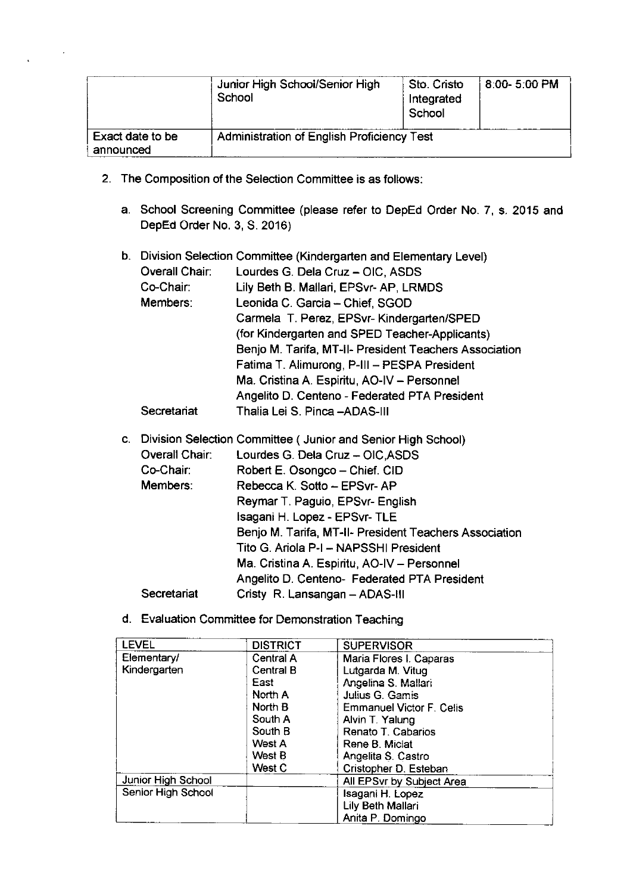|                               | Junior High School/Senior High<br>School          | Sto. Cristo<br>Integrated<br>School | $8:00 - 5:00$ PM |
|-------------------------------|---------------------------------------------------|-------------------------------------|------------------|
| Exact date to be<br>announced | <b>Administration of English Proficiency Test</b> |                                     |                  |

- 2. The Composition of the Selection Committee is as follows:
	- a. School Screening Committee (please refer to DepEd Order No. 7, s. 2015 and DepEd Order No. 3, S. 2016)

## b. Division Selection Committee (Kindergarten and Elementary Level)

| Overall Chair: | Lourdes G. Dela Cruz - OIC, ASDS                       |
|----------------|--------------------------------------------------------|
| Co-Chair:      | Lily Beth B. Mallari, EPSvr-AP, LRMDS                  |
| Members:       | Leonida C. Garcia - Chief, SGOD                        |
|                | Carmela T. Perez, EPSvr- Kindergarten/SPED             |
|                | (for Kindergarten and SPED Teacher-Applicants)         |
|                | Benjo M. Tarifa, MT-II- President Teachers Association |
|                | Fatima T. Alimurong, P-III - PESPA President           |
|                | Ma. Cristina A. Espiritu, AO-IV - Personnel            |
|                | Angelito D. Centeno - Federated PTA President          |
| Secretariat    | Thalia Lei S. Pinca - ADAS-III                         |

- c. Division Selection Committee ( Junior and Senior High School) Overall Chair: Lourdes G. Dela Cruz - OIC, ASDS Co-Chair: Robert E. Osongco - Chief. CID Members: Rebecca K. Sotto - EPSvr-AP Reymar T. Paguio, EPSvr- English Isagani H. Lopez - EPSvr-TLE Benjo M. Tarifa, MT-II- President Teachers Association Tito G. Ariola P-I - NAPSSHI President Ma. Cristina A. Espiritu, AO-IV - Personnel Angelito D. Centeno- Federated PTA President Secretariat Cristy R. Lansangan - ADAS-III
- d. Evaluation Committee for Demonstration Teaching

| <b>LEVEL</b>              | <b>DISTRICT</b> | <b>SUPERVISOR</b>         |  |
|---------------------------|-----------------|---------------------------|--|
| Elementary/               | Central A       | Maria Flores I. Caparas   |  |
| Kindergarten              | Central B       | Lutgarda M. Vitug         |  |
|                           | East            | Angelina S. Mallari       |  |
|                           | North A         | Julius G. Gamis           |  |
|                           | North B         | Emmanuel Victor F. Celis  |  |
|                           | South A         | Alvin T. Yalung           |  |
|                           | South B         | Renato T. Cabarios        |  |
|                           | West A          | Rene B. Miclat            |  |
|                           | West B          | Angelita S. Castro        |  |
|                           | West C          | Cristopher D. Esteban     |  |
| <b>Junior High School</b> |                 | All EPSvr by Subject Area |  |
| Senior High School        |                 | Isagani H. Lopez          |  |
|                           |                 | Lily Beth Mallari         |  |
|                           |                 | Anita P. Domingo          |  |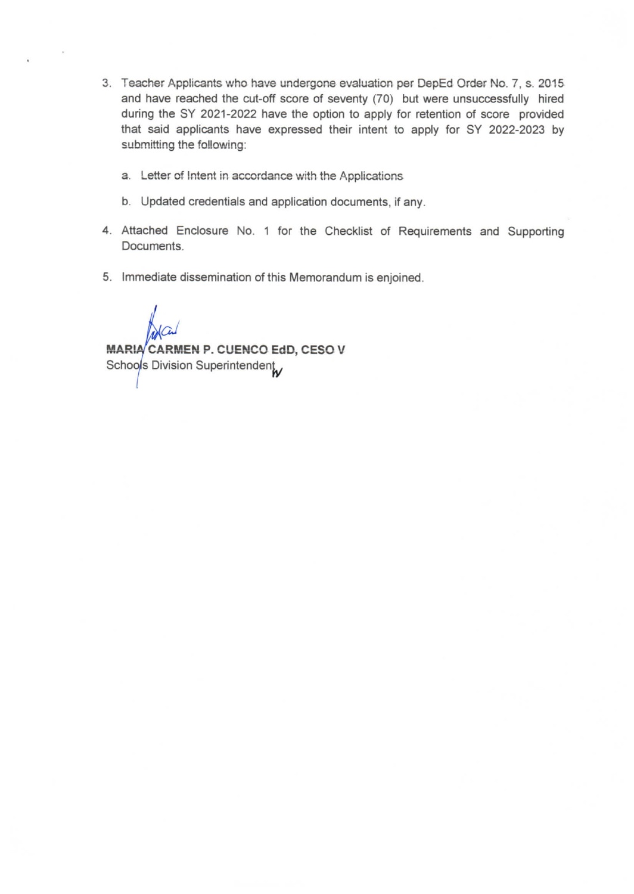- 3. Teacher Applicants who have undergone evaluation per DepEd Order No. 7, s. 2015 and have reached the cut-off score of seventy (70) but were unsuccessfully hired during the SY 2021-2022 have the option to apply for retention of score provided that said applicants have expressed their intent to apply for SY 2022-2023 by submitting the following:
	- a. Letter of Intent in accordance with the Applications
	- b. Updated credentials and application documents, if any.
- 4. Attached Enclosure No. 1 for the Checklist of Requirements and Supporting Documents.
- 5. Immediate dissemination of this Memorandum is enjoined.

MARIA CARMEN P. CUENCO EdD, CESO V Schools Division Superintendent